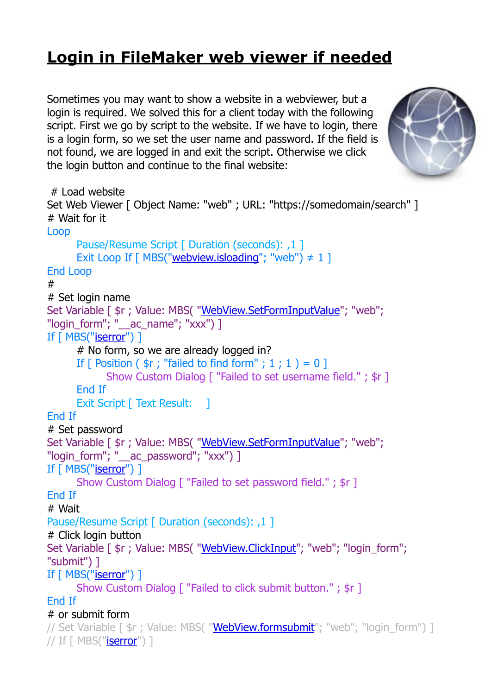## **[Login in FileMaker web viewer if needed](https://www.mbs-plugins.com/archive/2019-03-08/Login_in_FileMaker_web_viewer_/monkeybreadsoftware_blog_filemaker)**

Sometimes you may want to show a website in a webviewer, but a login is required. We solved this for a client today with the following script. First we go by script to the website. If we have to login, there is a login form, so we set the user name and password. If the field is not found, we are logged in and exit the script. Otherwise we click the login button and continue to the final website:



```
 # Load website 
Set Web Viewer [ Object Name: "web" ; URL: "https://somedomain/search" ] 
# Wait for it 
Loop 
       Pause/Resume Script [ Duration (seconds): ,1 ] 
      Exit Loop If \lceilwebview.isloading"; "web") \neq 1 ]
End Loop 
# 
# Set login name 
"WebView.SetFormInputValue"; "web";
"login_form"; "__ac_name"; "xxx") ] 
If [ MBS("iserror") ] 
       # No form, so we are already logged in? 
      If \lceil Position (\frac{1}{2}r; \frac{1}{2}) if \lceil Position (\frac{1}{2}r; \frac{1}{2})r^2 if \lceil Position \lceil Show Custom Dialog [ "Failed to set username field." ; $r ] 
       End If 
      Exit Script [ Text Result: 1
End If 
# Set password 
Set Variable [ \frac{1}{2}r"WebView.SetFormInputValue"; "web";
"login_form"; "__ac_password"; "xxx") ]
If [ MBS("iserror") ] 
       Show Custom Dialog [ "Failed to set password field." ; $r ] 
End If 
# Wait 
Pause/Resume Script [ Duration (seconds): ,1 ]
# Click login button 
"WebView.ClickInput"; "web"; "login form";
"submit") ] 
"iserror") ]
      Show Custom Dialog [ "Failed to click submit button." ; $r ]
End If 
# or submit form 
"WebView.formsubmit"; "web"; "login_form") ]
// If \lceil MBS("\mathsf{iserror}^{\mathsf{m}}) ]
```